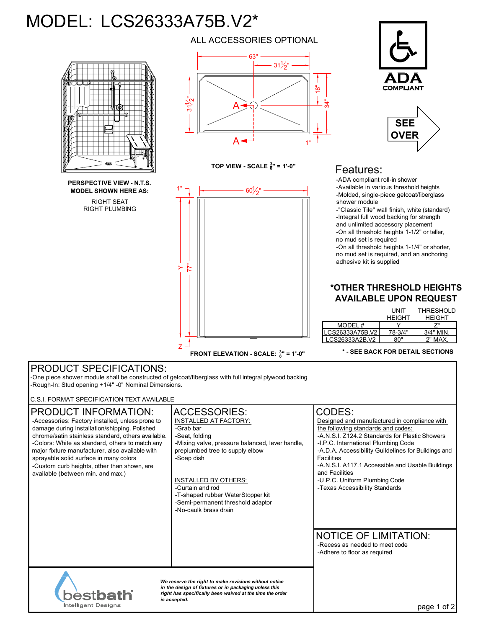# MODEL: LCS26333A75B.V2\*



RIGHT SEAT **PERSPECTIVE VIEW - N.T.S. MODEL SHOWN HERE AS:**

RIGHT PLUMBING

ALL ACCESSORIES OPTIONAL



**TOP VIEW - SCALE**  $\frac{3}{8}$ **" = 1'-0"** 



**COMPLIANT** 



## Features:

-ADA compliant roll-in shower -Available in various threshold heights -Molded, single-piece gelcoat/fiberglass shower module

-"Classic Tile" wall finish, white (standard) -Integral full wood backing for strength and unlimited accessory placement -On all threshold heights 1-1/2" or taller, no mud set is required

-On all threshold heights 1-1/4" or shorter, no mud set is required, and an anchoring adhesive kit is supplied

#### **\*OTHER THRESHOLD HEIGHTS AVAILABLE UPON REQUEST**

|                 | UNIT          | <b>THRESHOLD</b> |
|-----------------|---------------|------------------|
|                 | <b>HEIGHT</b> | <b>HEIGHT</b>    |
| MODEL #         |               |                  |
| LCS26333A75B.V2 | 78-3/4"       | $3/4"$ MIN       |
| LCS26333A2B.V2  | א0"           | 2" MAX.          |

#### **\* - SEE BACK FOR DETAIL SECTIONS**

### PRODUCT SPECIFICATIONS:

-One piece shower module shall be constructed of gelcoat/fiberglass with full integral plywood backing -Rough-In: Stud opening +1/4" -0" Nominal Dimensions.

C.S.I. FORMAT SPECIFICATION TEXT AVAILABLE

| PRODUCT INFORMATION:<br>-Accessories: Factory installed, unless prone to<br>damage during installation/shipping. Polished<br>chrome/satin stainless standard, others available.<br>-Colors: White as standard, others to match any<br>major fixture manufacturer, also available with<br>sprayable solid surface in many colors<br>-Custom curb heights, other than shown, are<br>available (between min. and max.) | <b>ACCESSORIES:</b><br><b>INSTALLED AT FACTORY:</b><br>-Grab bar<br>-Seat, folding<br>-Mixing valve, pressure balanced, lever handle,<br>preplumbed tree to supply elbow<br>-Soap dish<br><b>INSTALLED BY OTHERS:</b><br>-Curtain and rod<br>-T-shaped rubber WaterStopper kit<br>-Semi-permanent threshold adaptor<br>-No-caulk brass drain | CODES:<br>Designed and manufactured in compliance with<br>the following standards and codes:<br>-A.N.S.I. Z124.2 Standards for Plastic Showers<br>-I.P.C. International Plumbing Code<br>-A.D.A. Accessibility Guildelines for Buildings and<br><b>Facilities</b><br>-A.N.S.I. A117.1 Accessible and Usable Buildings<br>and Facilities<br>-U.P.C. Uniform Plumbing Code<br>-Texas Accessibility Standards |
|---------------------------------------------------------------------------------------------------------------------------------------------------------------------------------------------------------------------------------------------------------------------------------------------------------------------------------------------------------------------------------------------------------------------|----------------------------------------------------------------------------------------------------------------------------------------------------------------------------------------------------------------------------------------------------------------------------------------------------------------------------------------------|------------------------------------------------------------------------------------------------------------------------------------------------------------------------------------------------------------------------------------------------------------------------------------------------------------------------------------------------------------------------------------------------------------|
|                                                                                                                                                                                                                                                                                                                                                                                                                     |                                                                                                                                                                                                                                                                                                                                              | <b>NOTICE OF LIMITATION:</b><br>-Recess as needed to meet code<br>-Adhere to floor as required                                                                                                                                                                                                                                                                                                             |
| We reserve the right to make revisions without notice<br>in the design of fixtures or in packaging unless this<br><b>bèstbath</b><br>right has specifically been waived at the time the order<br>is accepted.<br><b>Intelligent Designs</b>                                                                                                                                                                         |                                                                                                                                                                                                                                                                                                                                              | of 2<br>page 1                                                                                                                                                                                                                                                                                                                                                                                             |